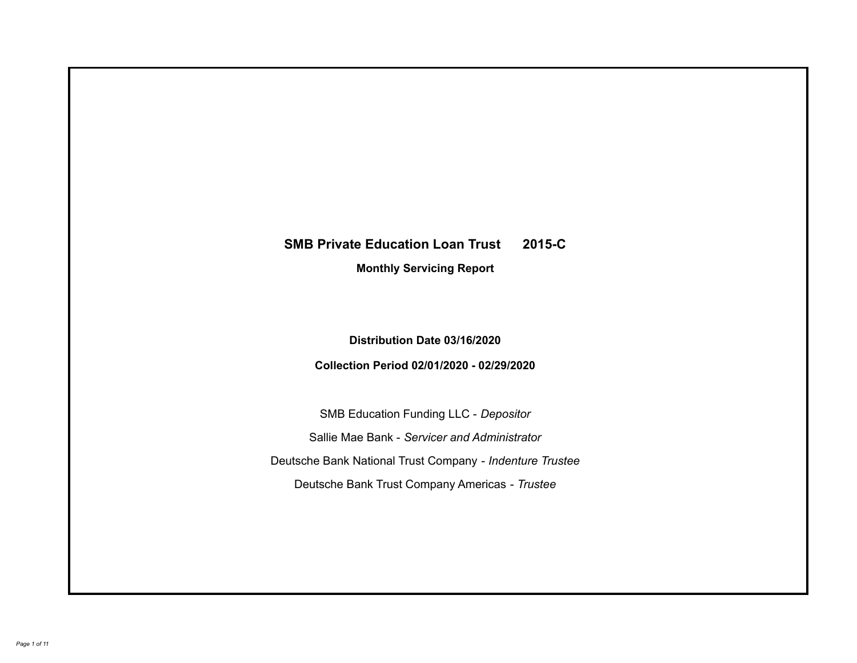# **SMB Private Education Loan Trust 2015-C Monthly Servicing Report**

**Distribution Date 03/16/2020**

**Collection Period 02/01/2020 - 02/29/2020**

SMB Education Funding LLC - *Depositor* Sallie Mae Bank - *Servicer and Administrator* Deutsche Bank National Trust Company - *Indenture Trustee* Deutsche Bank Trust Company Americas - *Trustee*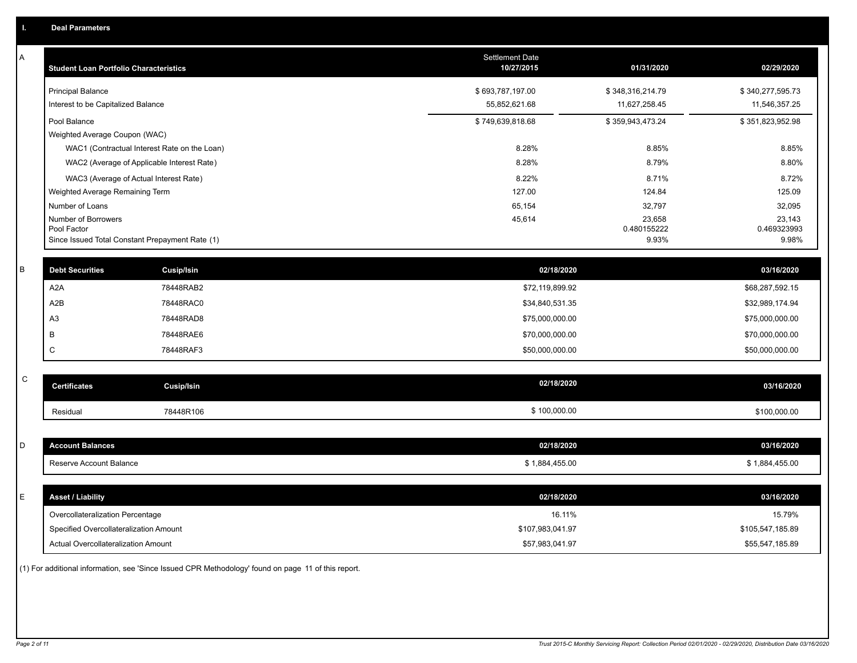| A           | <b>Student Loan Portfolio Characteristics</b>      |                   | Settlement Date<br>10/27/2015 | 01/31/2020       | 02/29/2020       |
|-------------|----------------------------------------------------|-------------------|-------------------------------|------------------|------------------|
|             | <b>Principal Balance</b>                           |                   | \$693,787,197.00              | \$348,316,214.79 | \$340,277,595.73 |
|             | Interest to be Capitalized Balance                 |                   | 55,852,621.68                 | 11,627,258.45    | 11,546,357.25    |
|             | Pool Balance                                       |                   | \$749,639,818.68              | \$359,943,473.24 | \$351,823,952.98 |
|             | Weighted Average Coupon (WAC)                      |                   |                               |                  |                  |
|             | WAC1 (Contractual Interest Rate on the Loan)       |                   | 8.28%                         | 8.85%            | 8.85%            |
|             | WAC2 (Average of Applicable Interest Rate)         |                   | 8.28%                         | 8.79%            | 8.80%            |
|             | WAC3 (Average of Actual Interest Rate)             |                   | 8.22%<br>127.00               | 8.71%            | 8.72%            |
|             | Weighted Average Remaining Term<br>Number of Loans |                   | 65,154                        | 124.84<br>32,797 | 125.09<br>32,095 |
|             | Number of Borrowers                                |                   | 45,614                        | 23,658           | 23,143           |
|             | Pool Factor                                        |                   |                               | 0.480155222      | 0.469323993      |
|             | Since Issued Total Constant Prepayment Rate (1)    |                   |                               | 9.93%            | 9.98%            |
| $\sf B$     | <b>Debt Securities</b>                             | <b>Cusip/Isin</b> | 02/18/2020                    |                  | 03/16/2020       |
|             | A <sub>2</sub> A                                   | 78448RAB2         | \$72,119,899.92               |                  | \$68,287,592.15  |
|             | A <sub>2</sub> B                                   | 78448RAC0         | \$34,840,531.35               |                  | \$32,989,174.94  |
|             | A3                                                 | 78448RAD8         | \$75,000,000.00               |                  | \$75,000,000.00  |
|             | B                                                  | 78448RAE6         | \$70,000,000.00               |                  | \$70,000,000.00  |
|             | C                                                  | 78448RAF3         | \$50,000,000.00               |                  | \$50,000,000.00  |
|             |                                                    |                   |                               |                  |                  |
| $\mathsf C$ | <b>Certificates</b>                                | <b>Cusip/Isin</b> | 02/18/2020                    |                  | 03/16/2020       |
|             | Residual                                           | 78448R106         | \$100,000.00                  |                  | \$100,000.00     |
|             |                                                    |                   |                               |                  |                  |
| D           | <b>Account Balances</b>                            |                   | 02/18/2020                    |                  | 03/16/2020       |
|             | Reserve Account Balance                            |                   | \$1,884,455.00                |                  | \$1,884,455.00   |
|             |                                                    |                   |                               |                  |                  |
| Ε           | <b>Asset / Liability</b>                           |                   | 02/18/2020                    |                  | 03/16/2020       |
|             | Overcollateralization Percentage                   |                   | 16.11%                        |                  | 15.79%           |
|             | Specified Overcollateralization Amount             |                   | \$107,983,041.97              |                  | \$105,547,185.89 |
|             | Actual Overcollateralization Amount                |                   | \$57,983,041.97               |                  | \$55,547,185.89  |

(1) For additional information, see 'Since Issued CPR Methodology' found on page 11 of this report.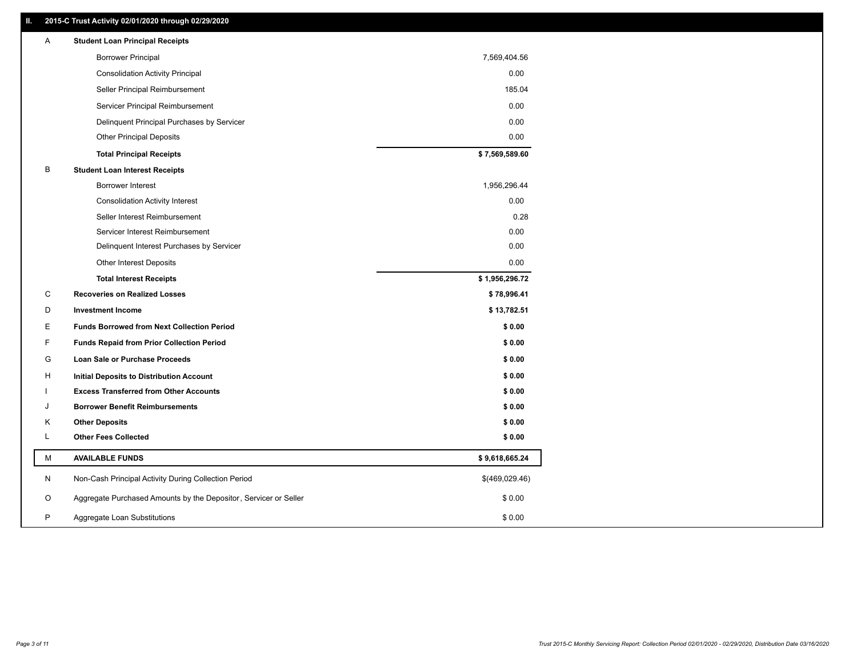# **II. 2015-C Trust Activity 02/01/2020 through 02/29/2020**

| Α | <b>Student Loan Principal Receipts</b>                           |                |
|---|------------------------------------------------------------------|----------------|
|   | <b>Borrower Principal</b>                                        | 7,569,404.56   |
|   | <b>Consolidation Activity Principal</b>                          | 0.00           |
|   | Seller Principal Reimbursement                                   | 185.04         |
|   | Servicer Principal Reimbursement                                 | 0.00           |
|   | Delinquent Principal Purchases by Servicer                       | 0.00           |
|   | <b>Other Principal Deposits</b>                                  | 0.00           |
|   | <b>Total Principal Receipts</b>                                  | \$7,569,589.60 |
| B | <b>Student Loan Interest Receipts</b>                            |                |
|   | <b>Borrower Interest</b>                                         | 1,956,296.44   |
|   | <b>Consolidation Activity Interest</b>                           | 0.00           |
|   | Seller Interest Reimbursement                                    | 0.28           |
|   | Servicer Interest Reimbursement                                  | 0.00           |
|   | Delinquent Interest Purchases by Servicer                        | 0.00           |
|   | <b>Other Interest Deposits</b>                                   | 0.00           |
|   | <b>Total Interest Receipts</b>                                   | \$1,956,296.72 |
| C | <b>Recoveries on Realized Losses</b>                             | \$78,996.41    |
| D | <b>Investment Income</b>                                         | \$13,782.51    |
| Е | <b>Funds Borrowed from Next Collection Period</b>                | \$0.00         |
| F | <b>Funds Repaid from Prior Collection Period</b>                 | \$0.00         |
| G | Loan Sale or Purchase Proceeds                                   | \$0.00         |
| н | Initial Deposits to Distribution Account                         | \$0.00         |
|   | <b>Excess Transferred from Other Accounts</b>                    | \$0.00         |
| J | <b>Borrower Benefit Reimbursements</b>                           | \$0.00         |
| Κ | <b>Other Deposits</b>                                            | \$0.00         |
| L | <b>Other Fees Collected</b>                                      | \$0.00         |
| M | <b>AVAILABLE FUNDS</b>                                           | \$9,618,665.24 |
| N | Non-Cash Principal Activity During Collection Period             | \$(469,029.46) |
| O | Aggregate Purchased Amounts by the Depositor, Servicer or Seller | \$0.00         |
| P | Aggregate Loan Substitutions                                     | \$0.00         |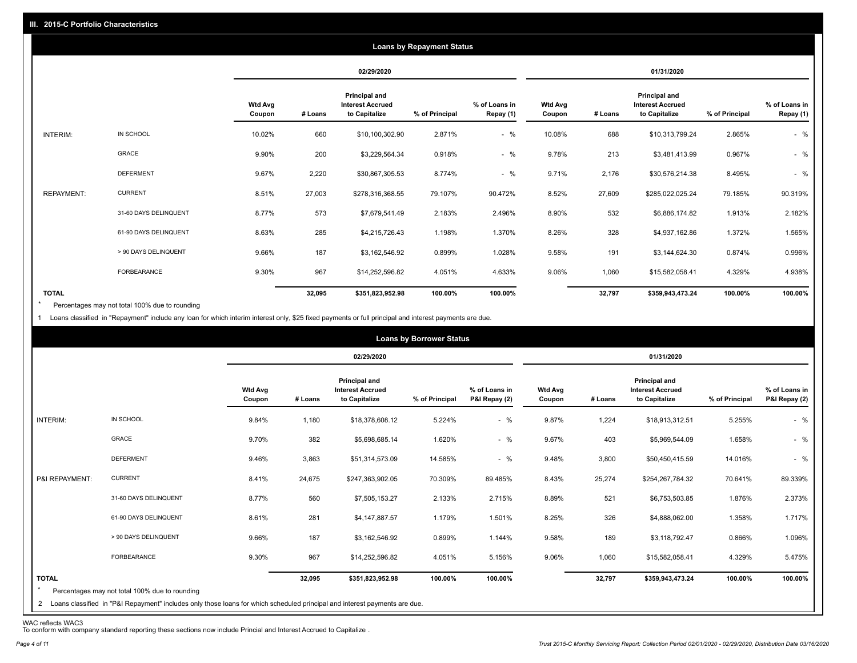|                   |                       |                          |         |                                                           | <b>Loans by Repayment Status</b> |                            |                          |         |                                                           |                |                            |
|-------------------|-----------------------|--------------------------|---------|-----------------------------------------------------------|----------------------------------|----------------------------|--------------------------|---------|-----------------------------------------------------------|----------------|----------------------------|
|                   |                       |                          |         | 02/29/2020                                                |                                  |                            |                          |         | 01/31/2020                                                |                |                            |
|                   |                       | <b>Wtd Avg</b><br>Coupon | # Loans | Principal and<br><b>Interest Accrued</b><br>to Capitalize | % of Principal                   | % of Loans in<br>Repay (1) | <b>Wtd Avg</b><br>Coupon | # Loans | Principal and<br><b>Interest Accrued</b><br>to Capitalize | % of Principal | % of Loans in<br>Repay (1) |
| INTERIM:          | IN SCHOOL             | 10.02%                   | 660     | \$10,100,302.90                                           | 2.871%                           | $-$ %                      | 10.08%                   | 688     | \$10,313,799.24                                           | 2.865%         | $-$ %                      |
|                   | GRACE                 | 9.90%                    | 200     | \$3,229,564.34                                            | 0.918%                           | $-$ %                      | 9.78%                    | 213     | \$3,481,413.99                                            | 0.967%         | $-$ %                      |
|                   | <b>DEFERMENT</b>      | 9.67%                    | 2,220   | \$30,867,305.53                                           | 8.774%                           | $-$ %                      | 9.71%                    | 2,176   | \$30,576,214.38                                           | 8.495%         | $-$ %                      |
| <b>REPAYMENT:</b> | <b>CURRENT</b>        | 8.51%                    | 27,003  | \$278,316,368.55                                          | 79.107%                          | 90.472%                    | 8.52%                    | 27,609  | \$285,022,025.24                                          | 79.185%        | 90.319%                    |
|                   | 31-60 DAYS DELINQUENT | 8.77%                    | 573     | \$7,679,541.49                                            | 2.183%                           | 2.496%                     | 8.90%                    | 532     | \$6,886,174.82                                            | 1.913%         | 2.182%                     |
|                   | 61-90 DAYS DELINQUENT | 8.63%                    | 285     | \$4,215,726.43                                            | 1.198%                           | 1.370%                     | 8.26%                    | 328     | \$4,937,162.86                                            | 1.372%         | 1.565%                     |
|                   | > 90 DAYS DELINQUENT  | 9.66%                    | 187     | \$3,162,546.92                                            | 0.899%                           | 1.028%                     | 9.58%                    | 191     | \$3,144,624.30                                            | 0.874%         | 0.996%                     |
|                   | FORBEARANCE           | 9.30%                    | 967     | \$14,252,596.82                                           | 4.051%                           | 4.633%                     | 9.06%                    | 1,060   | \$15,582,058.41                                           | 4.329%         | 4.938%                     |
| <b>TOTAL</b>      |                       |                          | 32,095  | \$351,823,952.98                                          | 100.00%                          | 100.00%                    |                          | 32,797  | \$359,943,473.24                                          | 100.00%        | 100.00%                    |

Percentages may not total 100% due to rounding  $\star$ 

1 Loans classified in "Repayment" include any loan for which interim interest only, \$25 fixed payments or full principal and interest payments are due.

|                     |                                                                                                                                                                                |                          |         |                                                                  | <b>Loans by Borrower Status</b> |                                |                          |         |                                                           |                |                                |
|---------------------|--------------------------------------------------------------------------------------------------------------------------------------------------------------------------------|--------------------------|---------|------------------------------------------------------------------|---------------------------------|--------------------------------|--------------------------|---------|-----------------------------------------------------------|----------------|--------------------------------|
|                     |                                                                                                                                                                                |                          |         | 02/29/2020                                                       |                                 |                                |                          |         | 01/31/2020                                                |                |                                |
|                     |                                                                                                                                                                                | <b>Wtd Avg</b><br>Coupon | # Loans | <b>Principal and</b><br><b>Interest Accrued</b><br>to Capitalize | % of Principal                  | % of Loans in<br>P&I Repay (2) | <b>Wtd Avg</b><br>Coupon | # Loans | Principal and<br><b>Interest Accrued</b><br>to Capitalize | % of Principal | % of Loans in<br>P&I Repay (2) |
| INTERIM:            | IN SCHOOL                                                                                                                                                                      | 9.84%                    | 1,180   | \$18,378,608.12                                                  | 5.224%                          | $-$ %                          | 9.87%                    | 1,224   | \$18,913,312.51                                           | 5.255%         | $-$ %                          |
|                     | GRACE                                                                                                                                                                          | 9.70%                    | 382     | \$5,698,685.14                                                   | 1.620%                          | $-$ %                          | 9.67%                    | 403     | \$5,969,544.09                                            | 1.658%         | $-$ %                          |
|                     | <b>DEFERMENT</b>                                                                                                                                                               | 9.46%                    | 3,863   | \$51,314,573.09                                                  | 14.585%                         | $-$ %                          | 9.48%                    | 3,800   | \$50,450,415.59                                           | 14.016%        | $-$ %                          |
| P&I REPAYMENT:      | <b>CURRENT</b>                                                                                                                                                                 | 8.41%                    | 24,675  | \$247,363,902.05                                                 | 70.309%                         | 89.485%                        | 8.43%                    | 25,274  | \$254,267,784.32                                          | 70.641%        | 89.339%                        |
|                     | 31-60 DAYS DELINQUENT                                                                                                                                                          | 8.77%                    | 560     | \$7,505,153.27                                                   | 2.133%                          | 2.715%                         | 8.89%                    | 521     | \$6,753,503.85                                            | 1.876%         | 2.373%                         |
|                     | 61-90 DAYS DELINQUENT                                                                                                                                                          | 8.61%                    | 281     | \$4,147,887.57                                                   | 1.179%                          | 1.501%                         | 8.25%                    | 326     | \$4,888,062.00                                            | 1.358%         | 1.717%                         |
|                     | > 90 DAYS DELINQUENT                                                                                                                                                           | 9.66%                    | 187     | \$3,162,546.92                                                   | 0.899%                          | 1.144%                         | 9.58%                    | 189     | \$3,118,792.47                                            | 0.866%         | 1.096%                         |
|                     | FORBEARANCE                                                                                                                                                                    | 9.30%                    | 967     | \$14,252,596.82                                                  | 4.051%                          | 5.156%                         | 9.06%                    | 1,060   | \$15,582,058.41                                           | 4.329%         | 5.475%                         |
| <b>TOTAL</b><br>$*$ | Percentages may not total 100% due to rounding<br>2 Loans classified in "P&I Repayment" includes only those loans for which scheduled principal and interest payments are due. |                          | 32,095  | \$351,823,952.98                                                 | 100.00%                         | 100.00%                        |                          | 32,797  | \$359,943,473.24                                          | 100.00%        | 100.00%                        |

WAC reflects WAC3 To conform with company standard reporting these sections now include Princial and Interest Accrued to Capitalize .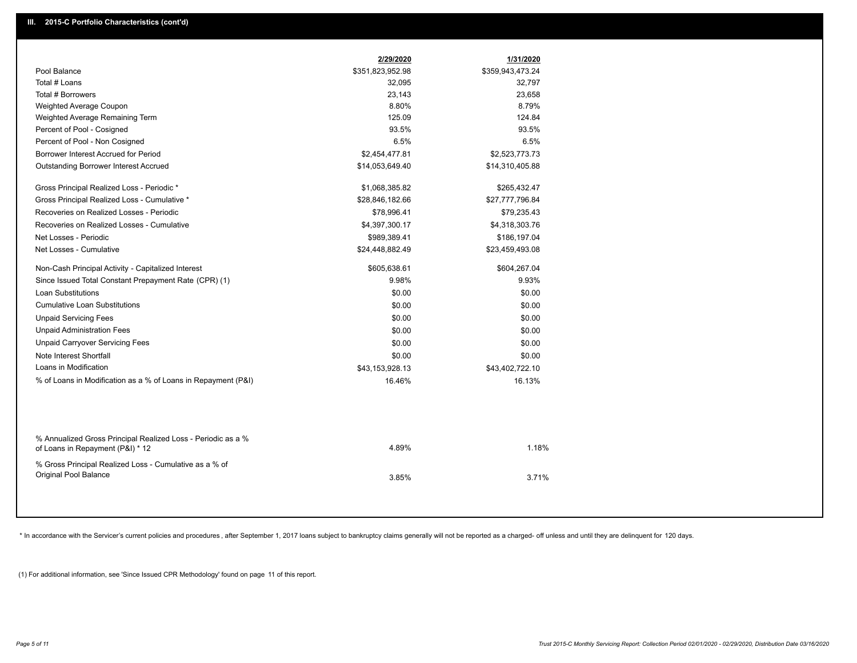|                                                                                                  | 2/29/2020        | 1/31/2020        |  |
|--------------------------------------------------------------------------------------------------|------------------|------------------|--|
| Pool Balance                                                                                     | \$351,823,952.98 | \$359,943,473.24 |  |
| Total # Loans                                                                                    | 32,095           | 32,797           |  |
| Total # Borrowers                                                                                | 23,143           | 23,658           |  |
| Weighted Average Coupon                                                                          | 8.80%            | 8.79%            |  |
| Weighted Average Remaining Term                                                                  | 125.09           | 124.84           |  |
| Percent of Pool - Cosigned                                                                       | 93.5%            | 93.5%            |  |
| Percent of Pool - Non Cosigned                                                                   | 6.5%             | 6.5%             |  |
| Borrower Interest Accrued for Period                                                             | \$2,454,477.81   | \$2,523,773.73   |  |
| Outstanding Borrower Interest Accrued                                                            | \$14,053,649.40  | \$14,310,405.88  |  |
| Gross Principal Realized Loss - Periodic *                                                       | \$1,068,385.82   | \$265,432.47     |  |
| Gross Principal Realized Loss - Cumulative *                                                     | \$28,846,182.66  | \$27,777,796.84  |  |
| Recoveries on Realized Losses - Periodic                                                         | \$78,996.41      | \$79,235.43      |  |
| Recoveries on Realized Losses - Cumulative                                                       | \$4,397,300.17   | \$4,318,303.76   |  |
| Net Losses - Periodic                                                                            | \$989,389.41     | \$186,197.04     |  |
| Net Losses - Cumulative                                                                          | \$24,448,882.49  | \$23,459,493.08  |  |
| Non-Cash Principal Activity - Capitalized Interest                                               | \$605,638.61     | \$604,267.04     |  |
| Since Issued Total Constant Prepayment Rate (CPR) (1)                                            | 9.98%            | 9.93%            |  |
| <b>Loan Substitutions</b>                                                                        | \$0.00           | \$0.00           |  |
| <b>Cumulative Loan Substitutions</b>                                                             | \$0.00           | \$0.00           |  |
| <b>Unpaid Servicing Fees</b>                                                                     | \$0.00           | \$0.00           |  |
| <b>Unpaid Administration Fees</b>                                                                | \$0.00           | \$0.00           |  |
| <b>Unpaid Carryover Servicing Fees</b>                                                           | \$0.00           | \$0.00           |  |
| Note Interest Shortfall                                                                          | \$0.00           | \$0.00           |  |
| Loans in Modification                                                                            | \$43,153,928.13  | \$43,402,722.10  |  |
| % of Loans in Modification as a % of Loans in Repayment (P&I)                                    | 16.46%           | 16.13%           |  |
|                                                                                                  |                  |                  |  |
| % Annualized Gross Principal Realized Loss - Periodic as a %<br>of Loans in Repayment (P&I) * 12 | 4.89%            | 1.18%            |  |
| % Gross Principal Realized Loss - Cumulative as a % of<br>Original Pool Balance                  | 3.85%            | 3.71%            |  |

\* In accordance with the Servicer's current policies and procedures, after September 1, 2017 loans subject to bankruptcy claims generally will not be reported as a charged- off unless and until they are delinquent for 120

(1) For additional information, see 'Since Issued CPR Methodology' found on page 11 of this report.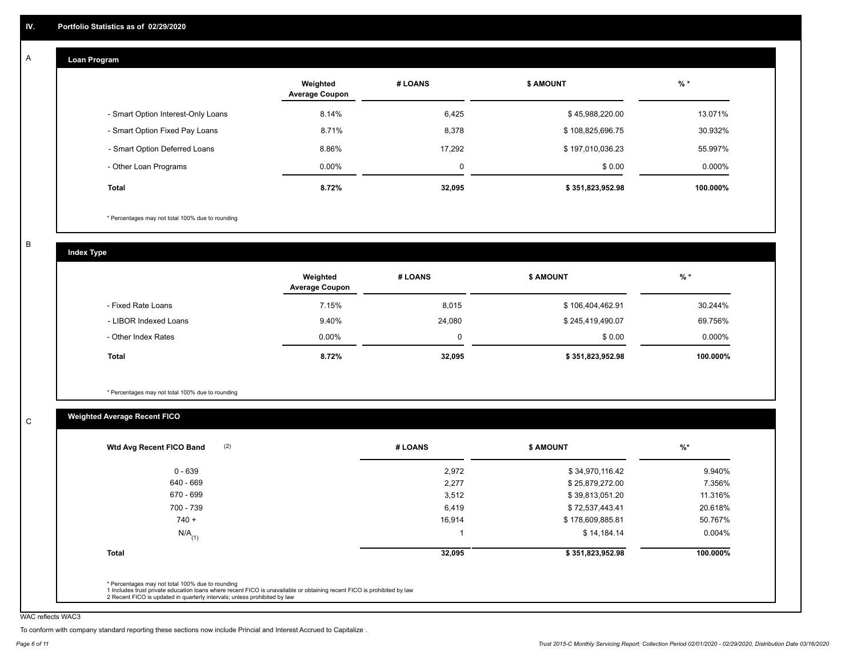#### **Loan Program**  A

|                                    | Weighted<br><b>Average Coupon</b> | # LOANS  | <b>\$ AMOUNT</b> | $%$ *    |
|------------------------------------|-----------------------------------|----------|------------------|----------|
| - Smart Option Interest-Only Loans | 8.14%                             | 6,425    | \$45,988,220.00  | 13.071%  |
| - Smart Option Fixed Pay Loans     | 8.71%                             | 8,378    | \$108,825,696.75 | 30.932%  |
| - Smart Option Deferred Loans      | 8.86%                             | 17.292   | \$197,010,036.23 | 55.997%  |
| - Other Loan Programs              | $0.00\%$                          | $\Omega$ | \$0.00           | 0.000%   |
| <b>Total</b>                       | 8.72%                             | 32,095   | \$351,823,952.98 | 100.000% |

\* Percentages may not total 100% due to rounding

B

C

**Index Type**

|                       | Weighted<br><b>Average Coupon</b> | # LOANS | <b>\$ AMOUNT</b> | $%$ *     |
|-----------------------|-----------------------------------|---------|------------------|-----------|
| - Fixed Rate Loans    | 7.15%                             | 8,015   | \$106,404,462.91 | 30.244%   |
| - LIBOR Indexed Loans | 9.40%                             | 24,080  | \$245,419,490.07 | 69.756%   |
| - Other Index Rates   | $0.00\%$                          | 0       | \$0.00           | $0.000\%$ |
| Total                 | 8.72%                             | 32,095  | \$351,823,952.98 | 100.000%  |

\* Percentages may not total 100% due to rounding

# **Weighted Average Recent FICO**

|                      |        |                  | $\frac{9}{6}$ * |
|----------------------|--------|------------------|-----------------|
| $0 - 639$            | 2,972  | \$34,970,116.42  | 9.940%          |
| 640 - 669            | 2,277  | \$25,879,272.00  | 7.356%          |
| 670 - 699            | 3,512  | \$39,813,051.20  | 11.316%         |
| 700 - 739            | 6,419  | \$72,537,443.41  | 20.618%         |
| $740 +$              | 16,914 | \$178,609,885.81 | 50.767%         |
| $N/A$ <sub>(1)</sub> |        | \$14,184.14      | $0.004\%$       |
| <b>Total</b>         | 32,095 | \$351,823,952.98 | 100.000%        |

WAC reflects WAC3

To conform with company standard reporting these sections now include Princial and Interest Accrued to Capitalize .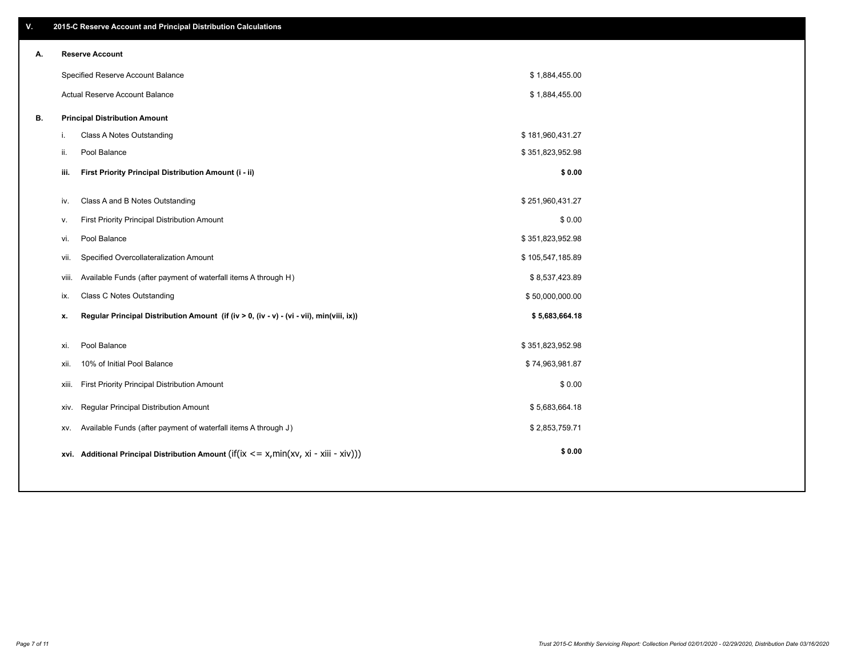| V. |       | 2015-C Reserve Account and Principal Distribution Calculations                             |                  |  |
|----|-------|--------------------------------------------------------------------------------------------|------------------|--|
| А. |       | <b>Reserve Account</b>                                                                     |                  |  |
|    |       | Specified Reserve Account Balance                                                          | \$1,884,455.00   |  |
|    |       | Actual Reserve Account Balance                                                             | \$1,884,455.00   |  |
| В. |       | <b>Principal Distribution Amount</b>                                                       |                  |  |
|    | i.    | Class A Notes Outstanding                                                                  | \$181,960,431.27 |  |
|    | ii.   | Pool Balance                                                                               | \$351,823,952.98 |  |
|    | iii.  | First Priority Principal Distribution Amount (i - ii)                                      | \$0.00           |  |
|    | iv.   | Class A and B Notes Outstanding                                                            | \$251,960,431.27 |  |
|    | v.    | First Priority Principal Distribution Amount                                               | \$0.00           |  |
|    | vi.   | Pool Balance                                                                               | \$351,823,952.98 |  |
|    | vii.  | Specified Overcollateralization Amount                                                     | \$105,547,185.89 |  |
|    | viii. | Available Funds (after payment of waterfall items A through H)                             | \$8,537,423.89   |  |
|    | ix.   | <b>Class C Notes Outstanding</b>                                                           | \$50,000,000.00  |  |
|    | х.    | Regular Principal Distribution Amount (if (iv > 0, (iv - v) - (vi - vii), min(viii, ix))   | \$5,683,664.18   |  |
|    |       |                                                                                            |                  |  |
|    | xi.   | Pool Balance                                                                               | \$351,823,952.98 |  |
|    | xii.  | 10% of Initial Pool Balance                                                                | \$74,963,981.87  |  |
|    | xiii. | First Priority Principal Distribution Amount                                               | \$0.00           |  |
|    | XIV.  | Regular Principal Distribution Amount                                                      | \$5,683,664.18   |  |
|    | XV.   | Available Funds (after payment of waterfall items A through J)                             | \$2,853,759.71   |  |
|    |       | xvi. Additional Principal Distribution Amount (if(ix $\lt$ = x, min(xv, xi - xiii - xiv))) | \$0.00           |  |
|    |       |                                                                                            |                  |  |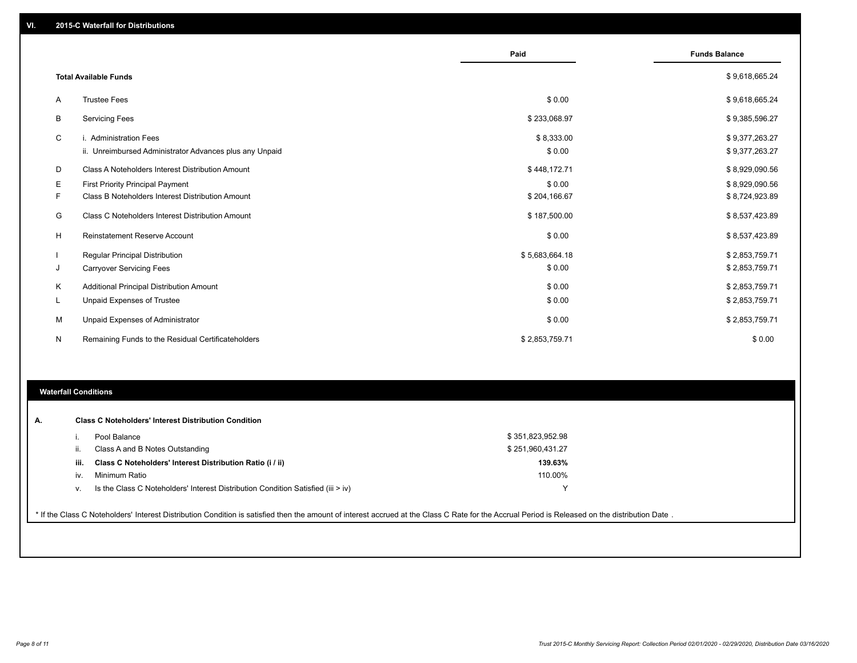|    |                                                                                   | Paid                 | <b>Funds Balance</b>             |
|----|-----------------------------------------------------------------------------------|----------------------|----------------------------------|
|    | <b>Total Available Funds</b>                                                      |                      | \$9,618,665.24                   |
| A  | <b>Trustee Fees</b>                                                               | \$0.00               | \$9,618,665.24                   |
| В  | <b>Servicing Fees</b>                                                             | \$233,068.97         | \$9,385,596.27                   |
| C  | i. Administration Fees<br>ii. Unreimbursed Administrator Advances plus any Unpaid | \$8,333.00<br>\$0.00 | \$9,377,263.27<br>\$9,377,263.27 |
| D  | Class A Noteholders Interest Distribution Amount                                  | \$448,172.71         | \$8,929,090.56                   |
| Е  | <b>First Priority Principal Payment</b>                                           | \$0.00               | \$8,929,090.56                   |
| F. | Class B Noteholders Interest Distribution Amount                                  | \$204,166.67         | \$8,724,923.89                   |
| G  | Class C Noteholders Interest Distribution Amount                                  | \$187,500.00         | \$8,537,423.89                   |
| H  | <b>Reinstatement Reserve Account</b>                                              | \$0.00               | \$8,537,423.89                   |
|    | <b>Regular Principal Distribution</b>                                             | \$5,683,664.18       | \$2,853,759.71                   |
| J  | <b>Carryover Servicing Fees</b>                                                   | \$0.00               | \$2,853,759.71                   |
| Κ  | Additional Principal Distribution Amount                                          | \$0.00               | \$2,853,759.71                   |
| L  | <b>Unpaid Expenses of Trustee</b>                                                 | \$0.00               | \$2,853,759.71                   |
| M  | Unpaid Expenses of Administrator                                                  | \$0.00               | \$2,853,759.71                   |
| N  | Remaining Funds to the Residual Certificateholders                                | \$2,853,759.71       | \$0.00                           |

# **Waterfall Conditions**

| iii.                 | Class A and B Notes Outstanding                                                  | \$251,960,431.27 |  |
|----------------------|----------------------------------------------------------------------------------|------------------|--|
|                      |                                                                                  |                  |  |
|                      | Class C Noteholders' Interest Distribution Ratio (i / ii)                        | 139.63%          |  |
| Minimum Ratio<br>İV. |                                                                                  | 110.00%          |  |
|                      | Is the Class C Noteholders' Interest Distribution Condition Satisfied (iii > iv) |                  |  |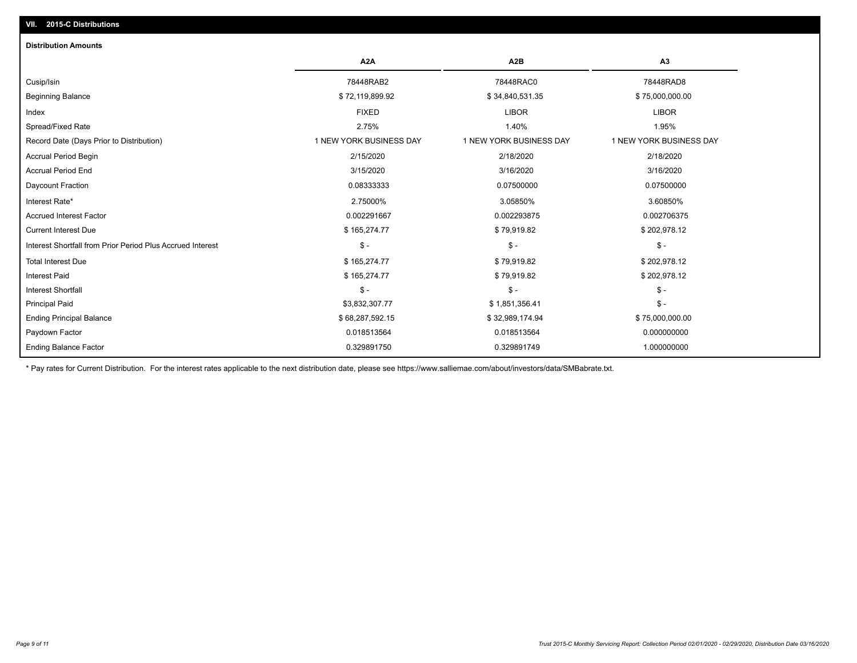# **VII. 2015-C Distributions**

| <b>Distribution Amounts</b>                                |                         |                         |                         |
|------------------------------------------------------------|-------------------------|-------------------------|-------------------------|
|                                                            | A <sub>2</sub> A        | A <sub>2</sub> B        | A <sub>3</sub>          |
| Cusip/Isin                                                 | 78448RAB2               | 78448RAC0               | 78448RAD8               |
| <b>Beginning Balance</b>                                   | \$72,119,899.92         | \$34,840,531.35         | \$75,000,000.00         |
| Index                                                      | <b>FIXED</b>            | <b>LIBOR</b>            | <b>LIBOR</b>            |
| Spread/Fixed Rate                                          | 2.75%                   | 1.40%                   | 1.95%                   |
| Record Date (Days Prior to Distribution)                   | 1 NEW YORK BUSINESS DAY | 1 NEW YORK BUSINESS DAY | 1 NEW YORK BUSINESS DAY |
| <b>Accrual Period Begin</b>                                | 2/15/2020               | 2/18/2020               | 2/18/2020               |
| <b>Accrual Period End</b>                                  | 3/15/2020               | 3/16/2020               | 3/16/2020               |
| Daycount Fraction                                          | 0.08333333              | 0.07500000              | 0.07500000              |
| Interest Rate*                                             | 2.75000%                | 3.05850%                | 3.60850%                |
| <b>Accrued Interest Factor</b>                             | 0.002291667             | 0.002293875             | 0.002706375             |
| <b>Current Interest Due</b>                                | \$165,274.77            | \$79,919.82             | \$202,978.12            |
| Interest Shortfall from Prior Period Plus Accrued Interest | $\mathsf{\$}$ -         | $\mathcal{S}$ -         | $\mathsf{\$}$ -         |
| <b>Total Interest Due</b>                                  | \$165,274.77            | \$79,919.82             | \$202,978.12            |
| <b>Interest Paid</b>                                       | \$165,274.77            | \$79,919.82             | \$202,978.12            |
| <b>Interest Shortfall</b>                                  | $\mathsf{\$}$ -         | $\mathsf{\$}$ -         | $$ -$                   |
| <b>Principal Paid</b>                                      | \$3,832,307.77          | \$1,851,356.41          | $\mathsf{\$}$ -         |
| <b>Ending Principal Balance</b>                            | \$68,287,592.15         | \$32,989,174.94         | \$75,000,000.00         |
| Paydown Factor                                             | 0.018513564             | 0.018513564             | 0.000000000             |
| <b>Ending Balance Factor</b>                               | 0.329891750             | 0.329891749             | 1.000000000             |

\* Pay rates for Current Distribution. For the interest rates applicable to the next distribution date, please see https://www.salliemae.com/about/investors/data/SMBabrate.txt.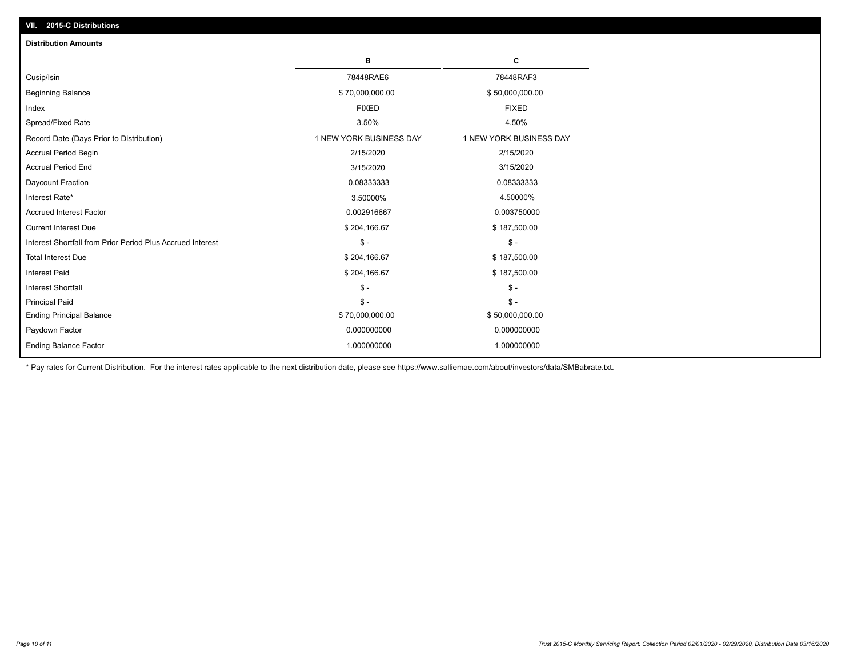| <b>Distribution Amounts</b>                                |                         |                         |
|------------------------------------------------------------|-------------------------|-------------------------|
|                                                            | в                       | C                       |
| Cusip/Isin                                                 | 78448RAE6               | 78448RAF3               |
| <b>Beginning Balance</b>                                   | \$70,000,000.00         | \$50,000,000.00         |
| Index                                                      | <b>FIXED</b>            | <b>FIXED</b>            |
| Spread/Fixed Rate                                          | 3.50%                   | 4.50%                   |
| Record Date (Days Prior to Distribution)                   | 1 NEW YORK BUSINESS DAY | 1 NEW YORK BUSINESS DAY |
| <b>Accrual Period Begin</b>                                | 2/15/2020               | 2/15/2020               |
| <b>Accrual Period End</b>                                  | 3/15/2020               | 3/15/2020               |
| Daycount Fraction                                          | 0.08333333              | 0.08333333              |
| Interest Rate*                                             | 3.50000%                | 4.50000%                |
| <b>Accrued Interest Factor</b>                             | 0.002916667             | 0.003750000             |
| <b>Current Interest Due</b>                                | \$204,166.67            | \$187,500.00            |
| Interest Shortfall from Prior Period Plus Accrued Interest | $\mathsf{\$}$ -         | $\mathsf{\$}$ -         |
| <b>Total Interest Due</b>                                  | \$204,166.67            | \$187,500.00            |
| Interest Paid                                              | \$204,166.67            | \$187,500.00            |
| <b>Interest Shortfall</b>                                  | $\mathsf{\$}$ -         | $\mathsf{\$}$ -         |
| <b>Principal Paid</b>                                      | $\mathsf{\$}$ -         | $\mathsf{\$}$ -         |
| <b>Ending Principal Balance</b>                            | \$70,000,000.00         | \$50,000,000.00         |
| Paydown Factor                                             | 0.000000000             | 0.000000000             |
| <b>Ending Balance Factor</b>                               | 1.000000000             | 1.000000000             |

\* Pay rates for Current Distribution. For the interest rates applicable to the next distribution date, please see https://www.salliemae.com/about/investors/data/SMBabrate.txt.

**VII. 2015-C Distributions**